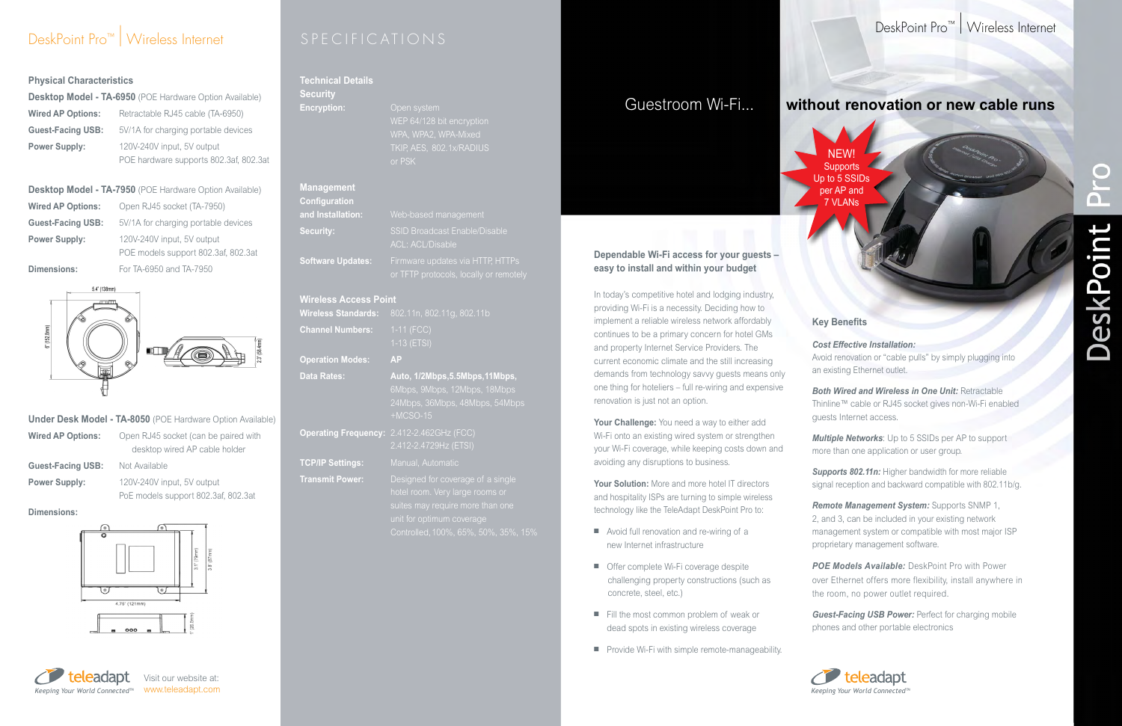# DeskPoint Pro™ | Wireless Internet SPECIFICATIONS

#### **Physical Characteristics**

| <b>Desktop Model - TA-6950</b> (POE Hardware Option Available) |                                        |
|----------------------------------------------------------------|----------------------------------------|
| <b>Wired AP Options:</b>                                       | Retractable RJ45 cable (TA-6950)       |
| <b>Guest-Facing USB:</b>                                       | 5V/1A for charging portable devices    |
| <b>Power Supply:</b>                                           | 120V-240V input, 5V output             |
|                                                                | POE hardware supports 802.3af, 802.3at |

**Desktop Model - TA-7950** (POE Hardware Option Available) **Wired AP Options:** Open RJ45 socket (TA-7950) **Guest-Facing USB:** 5V/1A for charging portable devices **Power Supply:** 120V-240V input, 5V output POE models support 802.3af, 802.3at **Dimensions:** For TA-6950 and TA-7950



|                          | <b>Under Desk Model - TA-8050</b> (POE Hardware Option Available)     |
|--------------------------|-----------------------------------------------------------------------|
| <b>Wired AP Options:</b> | Open RJ45 socket (can be paired with<br>desktop wired AP cable holder |
| <b>Guest-Facing USB:</b> | Not Available                                                         |
| <b>Power Supply:</b>     | 120V-240V input, 5V output                                            |
|                          | PoE models support 802.3af, 802.3at                                   |

**Dimensions:**



In today's competitive hotel and lodging industry, providing Wi-Fi is a necessity. Deciding how to implement a reliable wireless network affordably continues to be a primary concern for hotel GMs and property Internet Service Providers. The current economic climate and the still increasing demands from technology savvy guests means only one thing for hoteliers – full re-wiring and expensive renovation is just not an option.

*Both Wired and Wireless in One Unit: Retractable* Thinline™ cable or RJ45 socket gives non-Wi-Fi enabled guests Internet access.

**POE Models Available:** DeskPoint Pro with Power over Ethernet offers more flexibility, install anywhere in the room, no power outlet required.

**Your Challenge:** You need a way to either add Wi-Fi onto an existing wired system or strengthen your Wi-Fi coverage, while keeping costs down and avoiding any disruptions to business.

**Your Solution:** More and more hotel IT directors and hospitality ISPs are turning to simple wireless technology like the TeleAdapt DeskPoint Pro to:

- $\blacksquare$  Avoid full renovation and re-wiring of a new Internet infrastructure
- Offer complete Wi-Fi coverage despite challenging property constructions (such as concrete, steel, etc.)
- Fill the most common problem of weak or dead spots in existing wireless coverage
- $\blacksquare$  Provide Wi-Fi with simple remote-manageability.



# DeskPoint Pro™ | Wireless Internet



### **Key Benefits**

*Cost Effective Installation:* Avoid renovation or "cable pulls" by simply plugging into an existing Ethernet outlet.

*Multiple Networks*: Up to 5 SSIDs per AP to support more than one application or user group.

*Supports 802.11n:* Higher bandwidth for more reliable signal reception and backward compatible with 802.11b/g.

*Remote Management System:* Supports SNMP 1, 2, and 3, can be included in your existing network management system or compatible with most major ISP proprietary management software.

*Guest-Facing USB Power:* Perfect for charging mobile phones and other portable electronics

# $\bigcirc$  $\sqrt{2}$  $\bar{\mathbf{C}}$ DeskPoint

# Guestroom Wi-Fi... **without renovation or new cable runs**

### **Dependable Wi-Fi access for your guests – easy to install and within your budget**

#### **Technical Details Security**

## **Encryption:** Open system

WPA, WPA2, WPA-Mixed

|                                           | $\cdots$<br>TKIP, AES, 802.1x/RADIUS<br>or PSK                  |
|-------------------------------------------|-----------------------------------------------------------------|
| <b>Management</b><br><b>Configuration</b> |                                                                 |
| and Installation:                         | Web-based management                                            |
| <b>Security:</b>                          | <b>SSID Broadcast Enable/Disable</b><br><b>ACL: ACL/Disable</b> |
| <b>Software Updates:</b>                  | Firmware updates via HTTP, HTTPs                                |

### **Wireless Access Point**

**Operation Modes: AP**

| <b>THE LORD ACCESS LIGHT</b> |                                                                                                                                                                               |
|------------------------------|-------------------------------------------------------------------------------------------------------------------------------------------------------------------------------|
| <b>Wireless Standards:</b>   | 802.11n, 802.11g, 802.11b                                                                                                                                                     |
| <b>Channel Numbers:</b>      | $1-11$ (FCC)<br>1-13 (ETSI)                                                                                                                                                   |
| <b>Operation Modes:</b>      | <b>AP</b>                                                                                                                                                                     |
| <b>Data Rates:</b>           | Auto, 1/2Mbps, 5.5Mbps, 11Mbps,<br>6Mbps, 9Mbps, 12Mbps, 18Mbps<br>24Mbps, 36Mbps, 48Mbps, 54Mbps<br>$+MCSO-15$                                                               |
| <b>Operating Frequency:</b>  | 2.412-2.462GHz (FCC)<br>2.412-2.4729Hz (ETSI)                                                                                                                                 |
| <b>TCP/IP Settings:</b>      | Manual, Automatic                                                                                                                                                             |
| <b>Transmit Power:</b>       | Designed for coverage of a single<br>hotel room. Very large rooms or<br>suites may require more than one<br>unit for optimum coverage<br>Controlled, 100%, 65%, 50%, 35%, 15% |

NEW! **Supports** Up to 5 SSIDs per AP and 7 VLANs